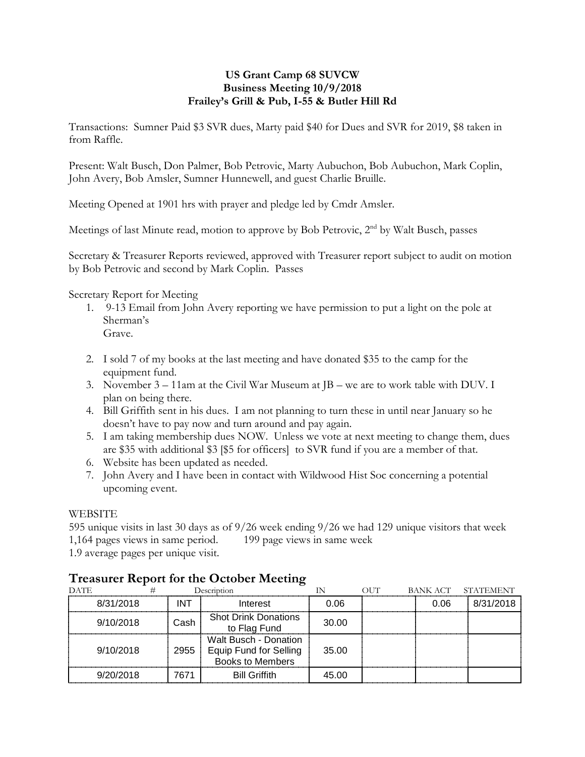# **US Grant Camp 68 SUVCW Business Meeting 10/9/2018 Frailey's Grill & Pub, I-55 & Butler Hill Rd**

Transactions: Sumner Paid \$3 SVR dues, Marty paid \$40 for Dues and SVR for 2019, \$8 taken in from Raffle.

Present: Walt Busch, Don Palmer, Bob Petrovic, Marty Aubuchon, Bob Aubuchon, Mark Coplin, John Avery, Bob Amsler, Sumner Hunnewell, and guest Charlie Bruille.

Meeting Opened at 1901 hrs with prayer and pledge led by Cmdr Amsler.

Meetings of last Minute read, motion to approve by Bob Petrovic, 2<sup>nd</sup> by Walt Busch, passes

Secretary & Treasurer Reports reviewed, approved with Treasurer report subject to audit on motion by Bob Petrovic and second by Mark Coplin. Passes

Secretary Report for Meeting

- 1. 9-13 Email from John Avery reporting we have permission to put a light on the pole at Sherman's Grave.
- 2. I sold 7 of my books at the last meeting and have donated \$35 to the camp for the equipment fund.
- 3. November 3 11am at the Civil War Museum at JB we are to work table with DUV. I plan on being there.
- 4. Bill Griffith sent in his dues. I am not planning to turn these in until near January so he doesn't have to pay now and turn around and pay again.
- 5. I am taking membership dues NOW. Unless we vote at next meeting to change them, dues are \$35 with additional \$3 [\$5 for officers] to SVR fund if you are a member of that.
- 6. Website has been updated as needed.
- 7. John Avery and I have been in contact with Wildwood Hist Soc concerning a potential upcoming event.

# WEBSITE

595 unique visits in last 30 days as of 9/26 week ending 9/26 we had 129 unique visitors that week 1,164 pages views in same period. 199 page views in same week

1.9 average pages per unique visit.

| <b>DATE</b> |      | Description                                                                | IN    | $\overline{O}$ $\overline{I}$ | BANK ACT | <b>STATEMENT</b> |
|-------------|------|----------------------------------------------------------------------------|-------|-------------------------------|----------|------------------|
| 8/31/2018   | INT  | Interest                                                                   | 0.06  |                               | 0.06     | 8/31/2018        |
| 9/10/2018   | Cash | <b>Shot Drink Donations</b><br>to Flag Fund                                | 30.00 |                               |          |                  |
| 9/10/2018   | 2955 | Walt Busch - Donation<br>Equip Fund for Selling<br><b>Books to Members</b> | 35.00 |                               |          |                  |
| 9/20/2018   | 7671 | <b>Bill Griffith</b>                                                       | 45.00 |                               |          |                  |

# **Treasurer Report for the October Meeting**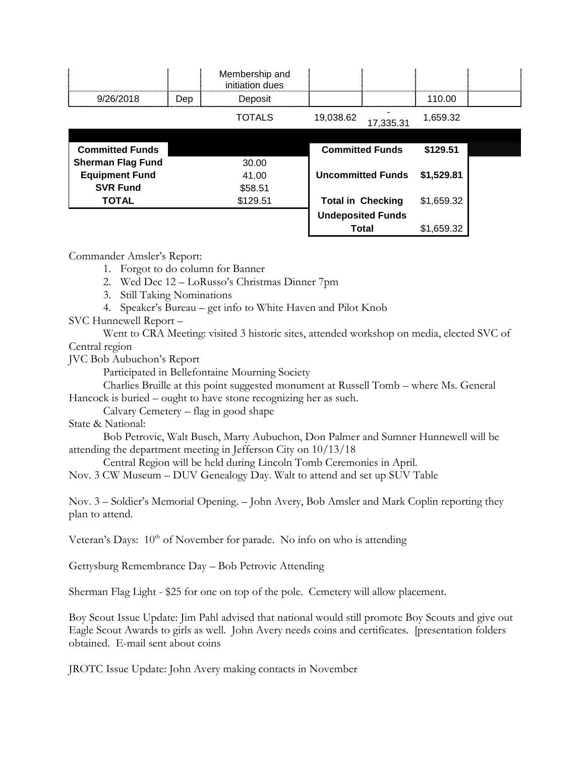|                          |            | Membership and<br>initiation dues |                          |           |            |  |
|--------------------------|------------|-----------------------------------|--------------------------|-----------|------------|--|
| 9/26/2018                | <b>Dep</b> | Deposit                           |                          |           | 110.00     |  |
|                          |            | <b>TOTALS</b>                     | 19,038.62                | 17,335.31 | 1,659.32   |  |
|                          |            |                                   |                          |           |            |  |
| <b>Committed Funds</b>   |            |                                   | <b>Committed Funds</b>   |           | \$129.51   |  |
| <b>Sherman Flag Fund</b> |            | 30.00                             |                          |           |            |  |
| <b>Equipment Fund</b>    |            | 41.00                             | <b>Uncommitted Funds</b> |           | \$1,529.81 |  |
| <b>SVR Fund</b>          |            | \$58.51                           |                          |           |            |  |
| <b>TOTAL</b>             |            | \$129.51                          | <b>Total in Checking</b> |           | \$1,659.32 |  |
|                          |            |                                   | <b>Undeposited Funds</b> |           |            |  |
|                          |            |                                   | Total                    |           | \$1,659.32 |  |

Commander Amsler's Report:

- 1. Forgot to do column for Banner
- 2. Wed Dec 12 LoRusso's Christmas Dinner 7pm
- 3. Still Taking Nominations
- 4. Speaker's Bureau get info to White Haven and Pilot Knob

# SVC Hunnewell Report –

Went to CRA Meeting: visited 3 historic sites, attended workshop on media, elected SVC of Central region

JVC Bob Aubuchon's Report

Participated in Bellefontaine Mourning Society

Charlies Bruille at this point suggested monument at Russell Tomb – where Ms. General Hancock is buried – ought to have stone recognizing her as such.

Calvary Cemetery – flag in good shape

State & National:

Bob Petrovic, Walt Busch, Marty Aubuchon, Don Palmer and Sumner Hunnewell will be attending the department meeting in Jefferson City on 10/13/18

Central Region will be held during Lincoln Tomb Ceremonies in April.

Nov. 3 CW Museum – DUV Genealogy Day. Walt to attend and set up SUV Table

Nov. 3 – Soldier's Memorial Opening. – John Avery, Bob Amsler and Mark Coplin reporting they plan to attend.

Veteran's Days:  $10<sup>th</sup>$  of November for parade. No info on who is attending

Gettysburg Remembrance Day – Bob Petrovic Attending

Sherman Flag Light - \$25 for one on top of the pole. Cemetery will allow placement.

Boy Scout Issue Update: Jim Pahl advised that national would still promote Boy Scouts and give out Eagle Scout Awards to girls as well. John Avery needs coins and certificates. [presentation folders obtained. E-mail sent about coins

JROTC Issue Update: John Avery making contacts in November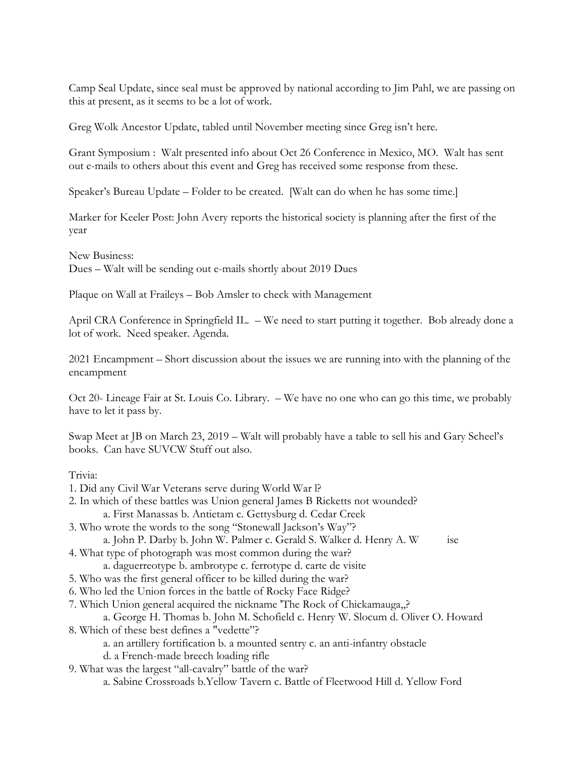Camp Seal Update, since seal must be approved by national according to Jim Pahl, we are passing on this at present, as it seems to be a lot of work.

Greg Wolk Ancestor Update, tabled until November meeting since Greg isn't here.

Grant Symposium : Walt presented info about Oct 26 Conference in Mexico, MO. Walt has sent out e-mails to others about this event and Greg has received some response from these.

Speaker's Bureau Update – Folder to be created. [Walt can do when he has some time.]

Marker for Keeler Post: John Avery reports the historical society is planning after the first of the year

New Business: Dues – Walt will be sending out e-mails shortly about 2019 Dues

Plaque on Wall at Fraileys – Bob Amsler to check with Management

April CRA Conference in Springfield IL. – We need to start putting it together. Bob already done a lot of work. Need speaker. Agenda.

2021 Encampment – Short discussion about the issues we are running into with the planning of the encampment

Oct 20- Lineage Fair at St. Louis Co. Library. – We have no one who can go this time, we probably have to let it pass by.

Swap Meet at JB on March 23, 2019 – Walt will probably have a table to sell his and Gary Scheel's books. Can have SUVCW Stuff out also.

### Trivia:

- 1. Did any Civil War Veterans serve during World War l?
- 2. In which of these battles was Union general James B Ricketts not wounded? a. First Manassas b. Antietam c. Gettysburg d. Cedar Creek
- 3. Who wrote the words to the song "Stonewall Jackson's Way"?

a. John P. Darby b. John W. Palmer c. Gerald S. Walker d. Henry A. W ise

- 4. What type of photograph was most common during the war?
	- a. daguerreotype b. ambrotype c. ferrotype d. carte de visite
- 5. Who was the first general officer to be killed during the war?
- 6. Who led the Union forces in the battle of Rocky Face Ridge?
- 7. Which Union general acquired the nickname 'The Rock of Chickamauga,,?

### a. George H. Thomas b. John M. Schofield c. Henry W. Slocum d. Oliver O. Howard 8. Which of these best defines a "vedette"?

- a. an artillery fortification b. a mounted sentry c. an anti-infantry obstacle
- d. a French-made breech loading rifle
- 9. What was the largest "all-cavalry" battle of the war?
	- a. Sabine Crossroads b.Yellow Tavern c. Battle of Fleetwood Hill d. Yellow Ford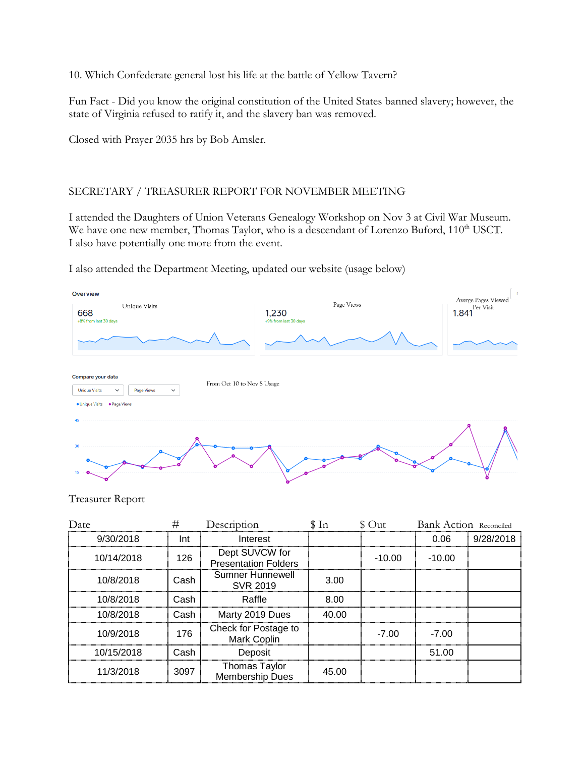10. Which Confederate general lost his life at the battle of Yellow Tavern?

Fun Fact - Did you know the original constitution of the United States banned slavery; however, the state of Virginia refused to ratify it, and the slavery ban was removed.

Closed with Prayer 2035 hrs by Bob Amsler.

# SECRETARY / TREASURER REPORT FOR NOVEMBER MEETING

I attended the Daughters of Union Veterans Genealogy Workshop on Nov 3 at Civil War Museum. We have one new member, Thomas Taylor, who is a descendant of Lorenzo Buford, 110<sup>th</sup> USCT. I also have potentially one more from the event.

I also attended the Department Meeting, updated our website (usage below)



Treasurer Report

| Date       | ±    | Description                                    | In    | $()$ 11t | <b>Bank Action</b> Reconciled |           |
|------------|------|------------------------------------------------|-------|----------|-------------------------------|-----------|
| 9/30/2018  | Int  | Interest                                       |       |          | 0.06                          | 9/28/2018 |
| 10/14/2018 | 126  | Dept SUVCW for<br><b>Presentation Folders</b>  |       | $-10.00$ | $-10.00$                      |           |
| 10/8/2018  | Cash | Sumner Hunnewell<br>SVR 2019                   | 3.00  |          |                               |           |
| 10/8/2018  | Cash | Raffle                                         | 8.00  |          |                               |           |
| 10/8/2018  | Cash | Marty 2019 Dues                                | 40.00 |          |                               |           |
| 10/9/2018  | 176  | Check for Postage to<br><b>Mark Coplin</b>     |       | $-7.00$  | $-7.00$                       |           |
| 10/15/2018 | Cash | Deposit                                        |       |          | 51.00                         |           |
| 11/3/2018  | 3097 | <b>Thomas Taylor</b><br><b>Membership Dues</b> | 45.00 |          |                               |           |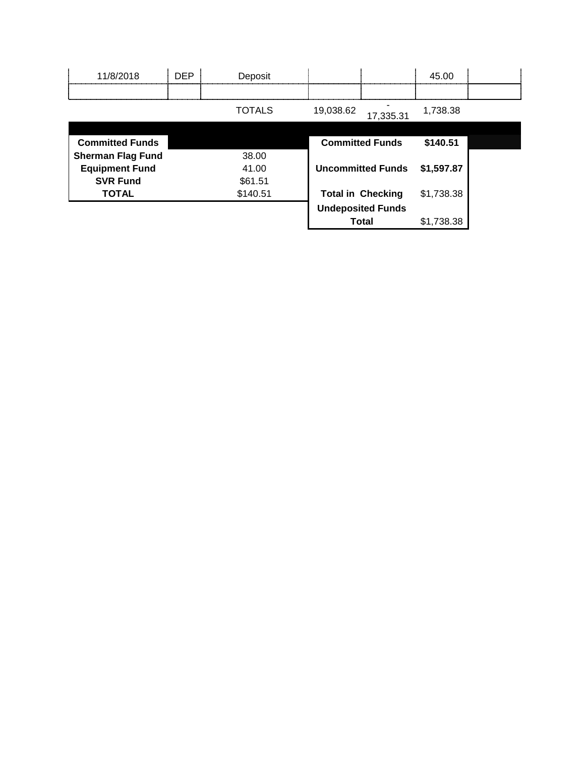| 11/8/2018                | <b>DEP</b> | Deposit       |           |                          | 45.00      |  |
|--------------------------|------------|---------------|-----------|--------------------------|------------|--|
|                          |            |               |           |                          |            |  |
|                          |            | <b>TOTALS</b> | 19,038.62 | 17,335.31                | 1,738.38   |  |
|                          |            |               |           |                          |            |  |
| <b>Committed Funds</b>   |            |               |           | <b>Committed Funds</b>   | \$140.51   |  |
| <b>Sherman Flag Fund</b> |            | 38.00         |           |                          |            |  |
| <b>Equipment Fund</b>    |            | 41.00         |           | <b>Uncommitted Funds</b> | \$1,597.87 |  |
| <b>SVR Fund</b>          |            | \$61.51       |           |                          |            |  |
| <b>TOTAL</b>             |            | \$140.51      |           | <b>Total in Checking</b> | \$1,738.38 |  |
|                          |            |               |           | <b>Undeposited Funds</b> |            |  |
|                          |            |               |           | <b>Total</b>             | \$1,738.38 |  |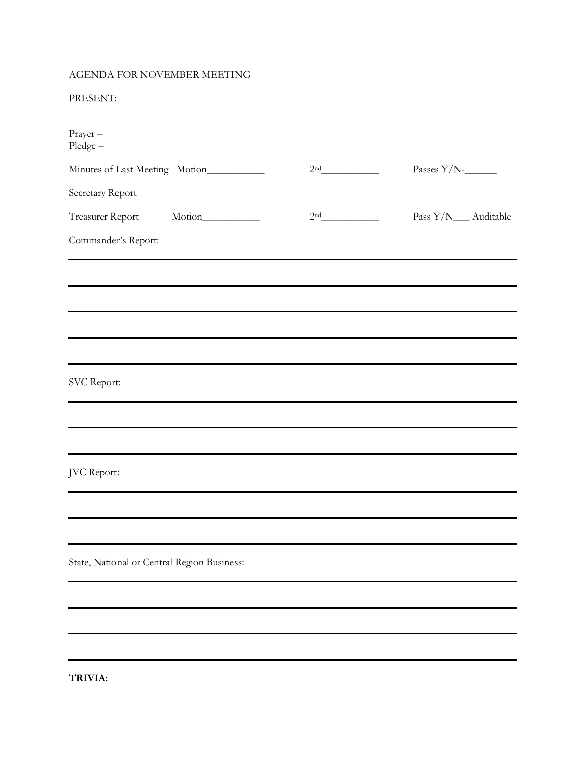### AGENDA FOR NOVEMBER MEETING

### PRESENT:

| Prayer-<br>Pledge-                          |                                                             |                 |                       |
|---------------------------------------------|-------------------------------------------------------------|-----------------|-----------------------|
| Minutes of Last Meeting Motion__________    |                                                             | 2 <sup>nd</sup> | Passes $Y/N$ -        |
| Secretary Report                            |                                                             |                 |                       |
| Treasurer Report Motion                     |                                                             | 2 <sup>nd</sup> | Pass Y/N___ Auditable |
| Commander's Report:                         |                                                             |                 |                       |
|                                             |                                                             |                 |                       |
|                                             |                                                             |                 |                       |
|                                             |                                                             |                 |                       |
|                                             | <u> 1989 - Johann Stoff, amerikansk politiker (d. 1989)</u> |                 |                       |
| SVC Report:                                 |                                                             |                 |                       |
|                                             |                                                             |                 |                       |
|                                             |                                                             |                 |                       |
| JVC Report:                                 |                                                             |                 |                       |
|                                             |                                                             |                 |                       |
|                                             |                                                             |                 |                       |
| State, National or Central Region Business: |                                                             |                 |                       |
|                                             |                                                             |                 |                       |
|                                             |                                                             |                 |                       |
|                                             |                                                             |                 |                       |
|                                             |                                                             |                 |                       |

**TRIVIA:**